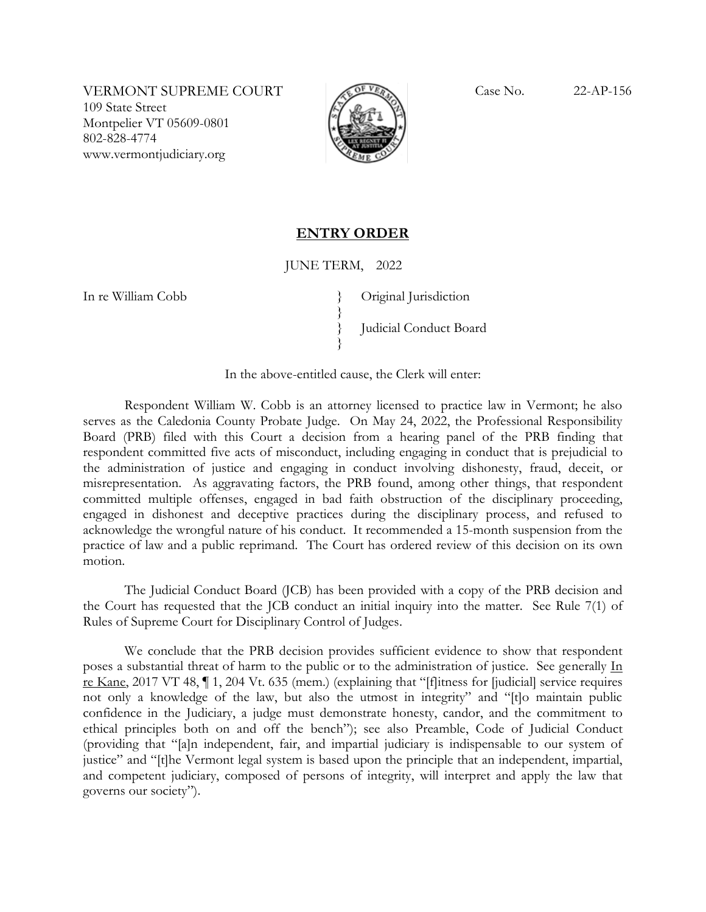VERMONT SUPREME COURT Case No. 22-AP-156 109 State Street Montpelier VT 05609-0801 802-828-4774 www.vermontjudiciary.org



## **ENTRY ORDER**

## JUNE TERM, 2022

}

}

In re William Cobb }

Original Jurisdiction } Judicial Conduct Board

In the above-entitled cause, the Clerk will enter:

Respondent William W. Cobb is an attorney licensed to practice law in Vermont; he also serves as the Caledonia County Probate Judge. On May 24, 2022, the Professional Responsibility Board (PRB) filed with this Court a decision from a hearing panel of the PRB finding that respondent committed five acts of misconduct, including engaging in conduct that is prejudicial to the administration of justice and engaging in conduct involving dishonesty, fraud, deceit, or misrepresentation. As aggravating factors, the PRB found, among other things, that respondent committed multiple offenses, engaged in bad faith obstruction of the disciplinary proceeding, engaged in dishonest and deceptive practices during the disciplinary process, and refused to acknowledge the wrongful nature of his conduct. It recommended a 15-month suspension from the practice of law and a public reprimand. The Court has ordered review of this decision on its own motion.

The Judicial Conduct Board (JCB) has been provided with a copy of the PRB decision and the Court has requested that the JCB conduct an initial inquiry into the matter. See Rule 7(1) of Rules of Supreme Court for Disciplinary Control of Judges.

We conclude that the PRB decision provides sufficient evidence to show that respondent poses a substantial threat of harm to the public or to the administration of justice. See generally In re Kane, 2017 VT 48, ¶ 1, 204 Vt. 635 (mem.) (explaining that "[f]itness for [judicial] service requires not only a knowledge of the law, but also the utmost in integrity" and "[t]o maintain public confidence in the Judiciary, a judge must demonstrate honesty, candor, and the commitment to ethical principles both on and off the bench"); see also Preamble, Code of Judicial Conduct (providing that "[a]n independent, fair, and impartial judiciary is indispensable to our system of justice" and "[t]he Vermont legal system is based upon the principle that an independent, impartial, and competent judiciary, composed of persons of integrity, will interpret and apply the law that governs our society").